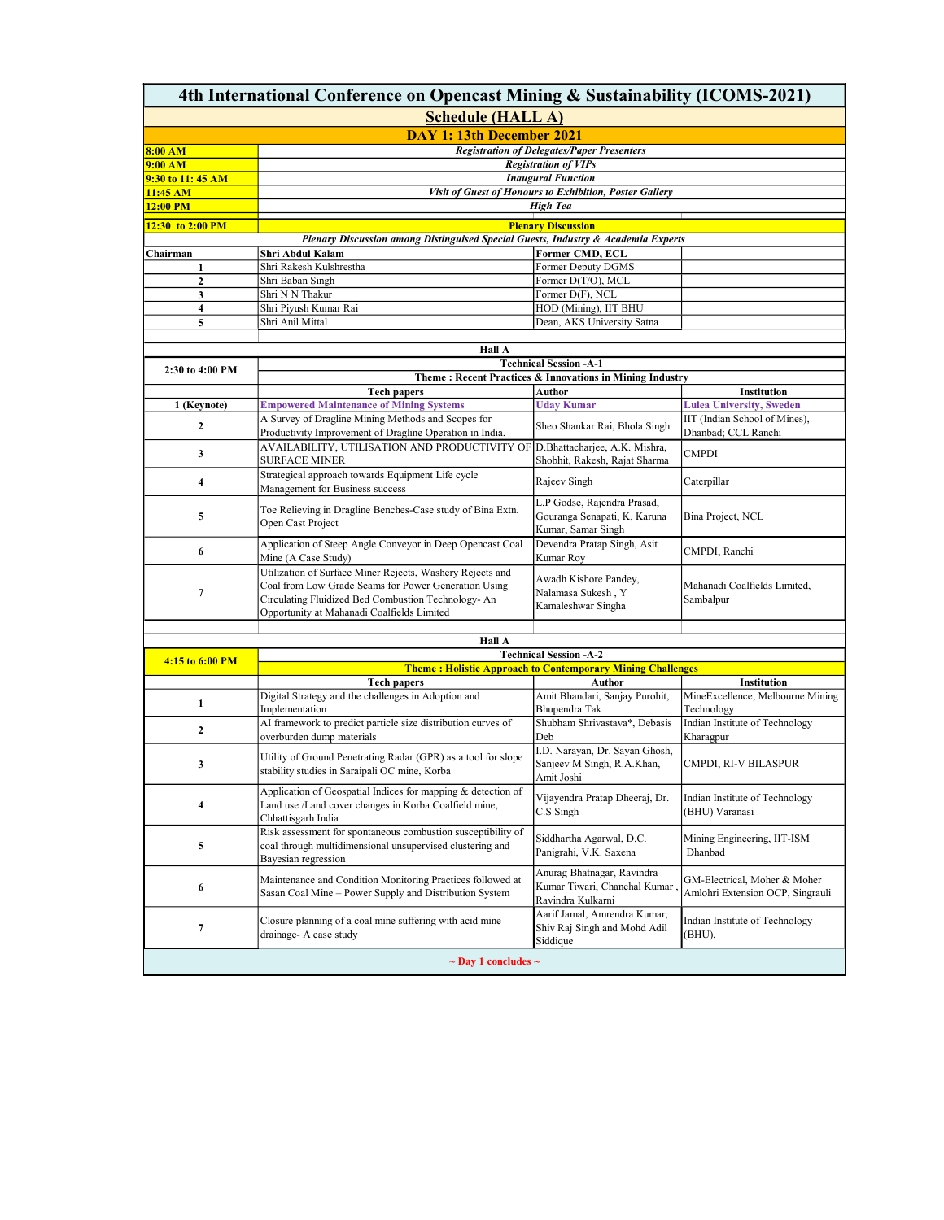| 4th International Conference on Opencast Mining & Sustainability (ICOMS-2021) |                                                                                                             |                                                            |                                  |  |  |  |
|-------------------------------------------------------------------------------|-------------------------------------------------------------------------------------------------------------|------------------------------------------------------------|----------------------------------|--|--|--|
| <b>Schedule (HALL A)</b>                                                      |                                                                                                             |                                                            |                                  |  |  |  |
| <b>DAY 1: 13th December 2021</b>                                              |                                                                                                             |                                                            |                                  |  |  |  |
| 8:00 AM                                                                       | <b>Registration of Delegates/Paper Presenters</b>                                                           |                                                            |                                  |  |  |  |
| 9:00 AM                                                                       | <b>Registration of VIPs</b>                                                                                 |                                                            |                                  |  |  |  |
| 9:30 to 11:45 AM                                                              |                                                                                                             | <b>Inaugural Function</b>                                  |                                  |  |  |  |
| 11:45 AM                                                                      | Visit of Guest of Honours to Exhibition, Poster Gallery                                                     |                                                            |                                  |  |  |  |
| 12:00 PM                                                                      |                                                                                                             | <b>High Tea</b>                                            |                                  |  |  |  |
| 12:30 to 2:00 PM                                                              |                                                                                                             | <b>Plenary Discussion</b>                                  |                                  |  |  |  |
|                                                                               | Plenary Discussion among Distinguised Special Guests, Industry & Academia Experts                           |                                                            |                                  |  |  |  |
| Chairman                                                                      | Shri Abdul Kalam                                                                                            | Former CMD, ECL                                            |                                  |  |  |  |
| 1                                                                             | Shri Rakesh Kulshrestha                                                                                     | Former Deputy DGMS                                         |                                  |  |  |  |
| $\mathbf{2}$                                                                  | Shri Baban Singh                                                                                            | Former D(T/O), MCL                                         |                                  |  |  |  |
| 3                                                                             | Shri N N Thakur                                                                                             | Former D(F), NCL                                           |                                  |  |  |  |
| 4                                                                             | Shri Piyush Kumar Rai                                                                                       | HOD (Mining), IIT BHU                                      |                                  |  |  |  |
| 5                                                                             | Shri Anil Mittal                                                                                            | Dean, AKS University Satna                                 |                                  |  |  |  |
|                                                                               |                                                                                                             |                                                            |                                  |  |  |  |
|                                                                               | Hall A                                                                                                      |                                                            |                                  |  |  |  |
|                                                                               |                                                                                                             | <b>Technical Session -A-1</b>                              |                                  |  |  |  |
| 2:30 to 4:00 PM                                                               |                                                                                                             | Theme: Recent Practices & Innovations in Mining Industry   |                                  |  |  |  |
|                                                                               | <b>Tech papers</b>                                                                                          | Author                                                     | Institution                      |  |  |  |
| 1 (Keynote)                                                                   | <b>Empowered Maintenance of Mining Systems</b>                                                              | <b>Uday Kumar</b>                                          | <b>Lulea University, Sweden</b>  |  |  |  |
| 2                                                                             | A Survey of Dragline Mining Methods and Scopes for                                                          | Sheo Shankar Rai, Bhola Singh                              | IIT (Indian School of Mines),    |  |  |  |
|                                                                               | Productivity Improvement of Dragline Operation in India.                                                    |                                                            | Dhanbad; CCL Ranchi              |  |  |  |
| 3                                                                             | AVAILABILITY, UTILISATION AND PRODUCTIVITY OF                                                               | D.Bhattacharjee, A.K. Mishra,                              | <b>CMPDI</b>                     |  |  |  |
|                                                                               | <b>SURFACE MINER</b>                                                                                        | Shobhit, Rakesh, Rajat Sharma                              |                                  |  |  |  |
| 4                                                                             | Strategical approach towards Equipment Life cycle                                                           | Rajeev Singh                                               | Caterpillar                      |  |  |  |
|                                                                               | Management for Business success                                                                             |                                                            |                                  |  |  |  |
|                                                                               | Toe Relieving in Dragline Benches-Case study of Bina Extn.                                                  | L.P Godse, Rajendra Prasad,                                |                                  |  |  |  |
| 5                                                                             | Open Cast Project                                                                                           | Gouranga Senapati, K. Karuna                               | Bina Project, NCL                |  |  |  |
|                                                                               |                                                                                                             | Kumar, Samar Singh                                         |                                  |  |  |  |
| 6                                                                             | Application of Steep Angle Conveyor in Deep Opencast Coal                                                   | Devendra Pratap Singh, Asit                                | CMPDI, Ranchi                    |  |  |  |
|                                                                               | Mine (A Case Study)                                                                                         | Kumar Roy                                                  |                                  |  |  |  |
|                                                                               | Utilization of Surface Miner Rejects, Washery Rejects and                                                   | Awadh Kishore Pandey,                                      |                                  |  |  |  |
| 7                                                                             | Coal from Low Grade Seams for Power Generation Using<br>Circulating Fluidized Bed Combustion Technology- An | Nalamasa Sukesh, Y                                         | Mahanadi Coalfields Limited,     |  |  |  |
|                                                                               | Opportunity at Mahanadi Coalfields Limited                                                                  | Kamaleshwar Singha                                         | Sambalpur                        |  |  |  |
|                                                                               |                                                                                                             |                                                            |                                  |  |  |  |
|                                                                               | Hall A                                                                                                      |                                                            |                                  |  |  |  |
|                                                                               | <b>Technical Session -A-2</b>                                                                               |                                                            |                                  |  |  |  |
| 4:15 to 6:00 PM                                                               | <b>Theme: Holistic Approach to Contemporary Mining Challenges</b>                                           |                                                            |                                  |  |  |  |
|                                                                               | <b>Tech papers</b>                                                                                          | Author                                                     | Institution                      |  |  |  |
|                                                                               | Digital Strategy and the challenges in Adoption and                                                         | Amit Bhandari, Sanjay Purohit,                             | MineExcellence, Melbourne Mining |  |  |  |
| 1                                                                             | Implementation                                                                                              | Bhupendra Tak                                              | Technology                       |  |  |  |
| $\mathbf{2}$                                                                  | AI framework to predict particle size distribution curves of                                                | Shubham Shrivastava*, Debasis                              | Indian Institute of Technology   |  |  |  |
|                                                                               | overburden dump materials                                                                                   | Deb                                                        | Kharagpur                        |  |  |  |
|                                                                               | Utility of Ground Penetrating Radar (GPR) as a tool for slope                                               | I.D. Narayan, Dr. Sayan Ghosh,                             |                                  |  |  |  |
| 3                                                                             | stability studies in Saraipali OC mine, Korba                                                               | Sanjeev M Singh, R.A.Khan,                                 | CMPDI, RI-V BILASPUR             |  |  |  |
|                                                                               |                                                                                                             | Amit Joshi                                                 |                                  |  |  |  |
|                                                                               | Application of Geospatial Indices for mapping & detection of                                                | Vijayendra Pratap Dheeraj, Dr.                             | Indian Institute of Technology   |  |  |  |
| 4                                                                             | Land use /Land cover changes in Korba Coalfield mine,                                                       | C.S Singh                                                  | (BHU) Varanasi                   |  |  |  |
|                                                                               | Chhattisgarh India                                                                                          |                                                            |                                  |  |  |  |
|                                                                               | Risk assessment for spontaneous combustion susceptibility of                                                | Siddhartha Agarwal, D.C.                                   | Mining Engineering, IIT-ISM      |  |  |  |
| 5                                                                             | coal through multidimensional unsupervised clustering and                                                   | Panigrahi, V.K. Saxena                                     | Dhanbad                          |  |  |  |
|                                                                               | Bayesian regression                                                                                         |                                                            |                                  |  |  |  |
|                                                                               | Maintenance and Condition Monitoring Practices followed at                                                  | Anurag Bhatnagar, Ravindra<br>Kumar Tiwari, Chanchal Kumar | GM-Electrical, Moher & Moher     |  |  |  |
| 6                                                                             | Sasan Coal Mine - Power Supply and Distribution System                                                      | Ravindra Kulkarni                                          | Amlohri Extension OCP, Singrauli |  |  |  |
|                                                                               |                                                                                                             | Aarif Jamal, Amrendra Kumar,                               |                                  |  |  |  |
| 7                                                                             | Closure planning of a coal mine suffering with acid mine                                                    | Shiv Raj Singh and Mohd Adil                               | Indian Institute of Technology   |  |  |  |
|                                                                               | drainage- A case study                                                                                      | Siddique                                                   | (BHU),                           |  |  |  |
|                                                                               |                                                                                                             |                                                            |                                  |  |  |  |
| $\sim$ Day 1 concludes $\sim$                                                 |                                                                                                             |                                                            |                                  |  |  |  |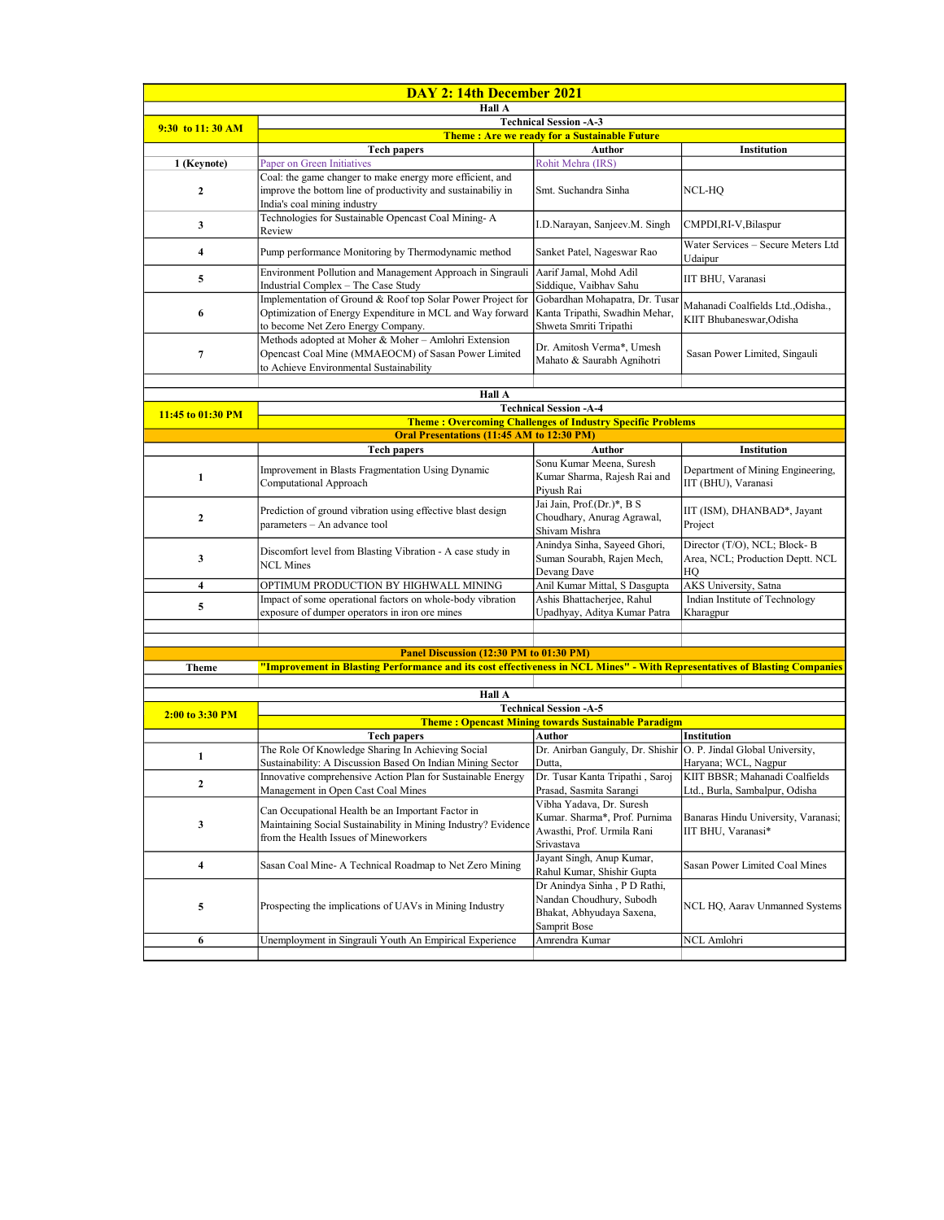| DAY 2: 14th December 2021 |                                                                                                                                                                |                                                                                                       |                                                                        |  |  |
|---------------------------|----------------------------------------------------------------------------------------------------------------------------------------------------------------|-------------------------------------------------------------------------------------------------------|------------------------------------------------------------------------|--|--|
| Hall A                    |                                                                                                                                                                |                                                                                                       |                                                                        |  |  |
| 9:30 to 11:30 AM          | <b>Technical Session -A-3</b>                                                                                                                                  |                                                                                                       |                                                                        |  |  |
|                           | <b>Theme: Are we ready for a Sustainable Future</b>                                                                                                            |                                                                                                       |                                                                        |  |  |
|                           | <b>Tech papers</b>                                                                                                                                             | Author                                                                                                | Institution                                                            |  |  |
| 1 (Keynote)               | Paper on Green Initiatives<br>Coal: the game changer to make energy more efficient, and                                                                        | Rohit Mehra (IRS)                                                                                     |                                                                        |  |  |
| $\mathbf{2}$              | improve the bottom line of productivity and sustainabiliy in<br>India's coal mining industry                                                                   | Smt. Suchandra Sinha                                                                                  | NCL-HQ                                                                 |  |  |
| 3                         | Technologies for Sustainable Opencast Coal Mining-A<br>Review                                                                                                  | I.D.Narayan, Sanjeev.M. Singh                                                                         | CMPDI,RI-V,Bilaspur                                                    |  |  |
| $\overline{\mathbf{4}}$   | Pump performance Monitoring by Thermodynamic method                                                                                                            | Sanket Patel, Nageswar Rao                                                                            | Water Services - Secure Meters Ltd<br>Udaipur                          |  |  |
| 5                         | Environment Pollution and Management Approach in Singrauli<br>Industrial Complex - The Case Study                                                              | Aarif Jamal, Mohd Adil<br>Siddique, Vaibhav Sahu                                                      | IIT BHU, Varanasi                                                      |  |  |
| 6                         | Implementation of Ground & Roof top Solar Power Project for<br>Optimization of Energy Expenditure in MCL and Way forward<br>to become Net Zero Energy Company. | Gobardhan Mohapatra, Dr. Tusar<br>Kanta Tripathi, Swadhin Mehar,<br>Shweta Smriti Tripathi            | Mahanadi Coalfields Ltd., Odisha.,<br>KIIT Bhubaneswar, Odisha         |  |  |
| 7                         | Methods adopted at Moher & Moher - Amlohri Extension<br>Opencast Coal Mine (MMAEOCM) of Sasan Power Limited<br>to Achieve Environmental Sustainability         | Dr. Amitosh Verma*, Umesh<br>Mahato & Saurabh Agnihotri                                               | Sasan Power Limited, Singauli                                          |  |  |
|                           |                                                                                                                                                                |                                                                                                       |                                                                        |  |  |
|                           | Hall A                                                                                                                                                         |                                                                                                       |                                                                        |  |  |
| 11:45 to 01:30 PM         |                                                                                                                                                                | <b>Technical Session -A-4</b><br><b>Theme: Overcoming Challenges of Industry Specific Problems</b>    |                                                                        |  |  |
|                           | Oral Presentations (11:45 AM to 12:30 PM)                                                                                                                      |                                                                                                       |                                                                        |  |  |
|                           | <b>Tech papers</b>                                                                                                                                             | Author                                                                                                | Institution                                                            |  |  |
|                           |                                                                                                                                                                | Sonu Kumar Meena, Suresh                                                                              |                                                                        |  |  |
| 1                         | Improvement in Blasts Fragmentation Using Dynamic<br>Computational Approach                                                                                    | Kumar Sharma, Rajesh Rai and<br>Piyush Rai                                                            | Department of Mining Engineering,<br>IIT (BHU), Varanasi               |  |  |
| $\mathbf{2}$              | Prediction of ground vibration using effective blast design<br>parameters - An advance tool                                                                    | Jai Jain, Prof.(Dr.)*, B S<br>Choudhary, Anurag Agrawal,<br>Shivam Mishra                             | IIT (ISM), DHANBAD*, Jayant<br>Project                                 |  |  |
| 3                         | Discomfort level from Blasting Vibration - A case study in<br><b>NCL Mines</b>                                                                                 | Anindya Sinha, Sayeed Ghori,<br>Suman Sourabh, Rajen Mech,<br>Devang Dave                             | Director (T/O), NCL; Block-B<br>Area, NCL; Production Deptt. NCL<br>HO |  |  |
| 4                         | OPTIMUM PRODUCTION BY HIGHWALL MINING                                                                                                                          | Anil Kumar Mittal, S Dasgupta                                                                         | AKS University, Satna                                                  |  |  |
| 5                         | Impact of some operational factors on whole-body vibration<br>exposure of dumper operators in iron ore mines                                                   | Ashis Bhattacherjee, Rahul<br>Upadhyay, Aditya Kumar Patra                                            | Indian Institute of Technology<br>Kharagpur                            |  |  |
|                           |                                                                                                                                                                |                                                                                                       |                                                                        |  |  |
|                           |                                                                                                                                                                |                                                                                                       |                                                                        |  |  |
|                           | Panel Discussion (12:30 PM to 01:30 PM)                                                                                                                        |                                                                                                       |                                                                        |  |  |
| <b>Theme</b>              | "Improvement in Blasting Performance and its cost effectiveness in NCL Mines" - With Representatives of Blasting Companies                                     |                                                                                                       |                                                                        |  |  |
|                           | Hall A                                                                                                                                                         |                                                                                                       |                                                                        |  |  |
|                           |                                                                                                                                                                | <b>Technical Session -A-5</b>                                                                         |                                                                        |  |  |
| 2:00 to 3:30 PM           | <b>Theme: Opencast Mining towards Sustainable Paradigm</b>                                                                                                     |                                                                                                       |                                                                        |  |  |
|                           | <b>Tech papers</b>                                                                                                                                             | Author                                                                                                | Institution                                                            |  |  |
| $\mathbf{1}$              | The Role Of Knowledge Sharing In Achieving Social                                                                                                              | Dr. Anirban Ganguly, Dr. Shishir O. P. Jindal Global University,                                      |                                                                        |  |  |
|                           | Sustainability: A Discussion Based On Indian Mining Sector                                                                                                     | Dutta,                                                                                                | Haryana; WCL, Nagpur                                                   |  |  |
| 2                         | Innovative comprehensive Action Plan for Sustainable Energy<br>Management in Open Cast Coal Mines                                                              | Dr. Tusar Kanta Tripathi, Saroj<br>Prasad, Sasmita Sarangi                                            | KIIT BBSR; Mahanadi Coalfields<br>Ltd., Burla, Sambalpur, Odisha       |  |  |
| 3                         | Can Occupational Health be an Important Factor in<br>Maintaining Social Sustainability in Mining Industry? Evidence<br>from the Health Issues of Mineworkers   | Vibha Yadava, Dr. Suresh<br>Kumar. Sharma*, Prof. Purnima<br>Awasthi, Prof. Urmila Rani<br>Srivastava | Banaras Hindu University, Varanasi;<br>IIT BHU, Varanasi*              |  |  |
| 4                         | Sasan Coal Mine- A Technical Roadmap to Net Zero Mining                                                                                                        | Jayant Singh, Anup Kumar,<br>Rahul Kumar, Shishir Gupta                                               | Sasan Power Limited Coal Mines                                         |  |  |
| 5                         | Prospecting the implications of UAVs in Mining Industry                                                                                                        | Dr Anindya Sinha, P D Rathi,<br>Nandan Choudhury, Subodh<br>Bhakat, Abhyudaya Saxena,<br>Samprit Bose | NCL HQ, Aarav Unmanned Systems                                         |  |  |
| 6                         | Unemployment in Singrauli Youth An Empirical Experience                                                                                                        | Amrendra Kumar                                                                                        | NCL Amlohri                                                            |  |  |
|                           |                                                                                                                                                                |                                                                                                       |                                                                        |  |  |